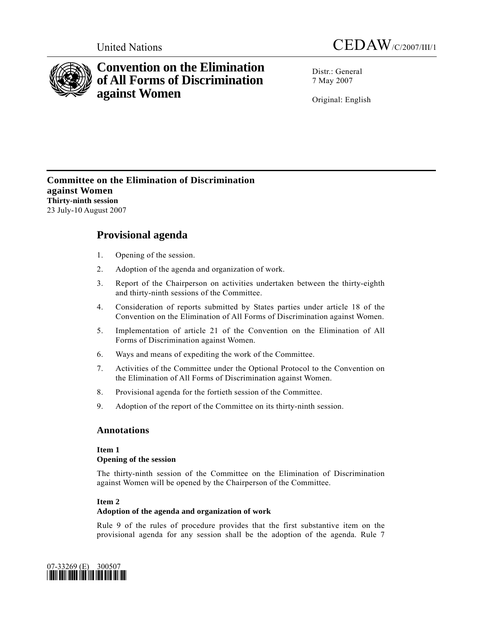



# **Convention on the Elimination of All Forms of Discrimination against Women**

Distr · General 7 May 2007

Original: English

**Committee on the Elimination of Discrimination against Women Thirty-ninth session**  23 July-10 August 2007

## **Provisional agenda**

- 1. Opening of the session.
- 2. Adoption of the agenda and organization of work.
- 3. Report of the Chairperson on activities undertaken between the thirty-eighth and thirty-ninth sessions of the Committee.
- 4. Consideration of reports submitted by States parties under article 18 of the Convention on the Elimination of All Forms of Discrimination against Women.
- 5. Implementation of article 21 of the Convention on the Elimination of All Forms of Discrimination against Women.
- 6. Ways and means of expediting the work of the Committee.
- 7. Activities of the Committee under the Optional Protocol to the Convention on the Elimination of All Forms of Discrimination against Women.
- 8. Provisional agenda for the fortieth session of the Committee.
- 9. Adoption of the report of the Committee on its thirty-ninth session.

## **Annotations**

## **Item 1**

## **Opening of the session**

The thirty-ninth session of the Committee on the Elimination of Discrimination against Women will be opened by the Chairperson of the Committee.

## **Item 2**

## **Adoption of the agenda and organization of work**

Rule 9 of the rules of procedure provides that the first substantive item on the provisional agenda for any session shall be the adoption of the agenda. Rule 7

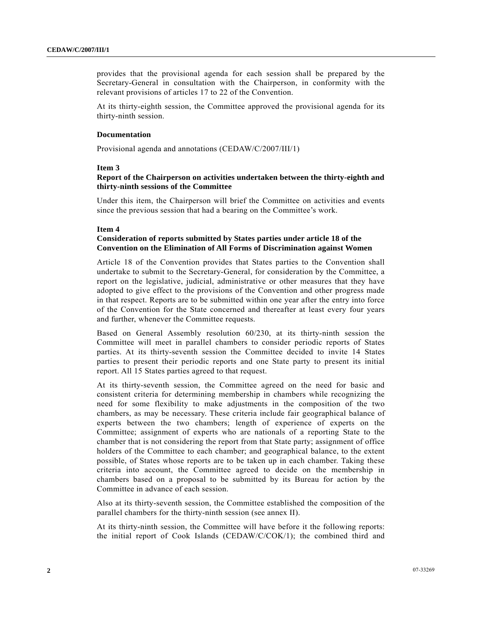provides that the provisional agenda for each session shall be prepared by the Secretary-General in consultation with the Chairperson, in conformity with the relevant provisions of articles 17 to 22 of the Convention.

At its thirty-eighth session, the Committee approved the provisional agenda for its thirty-ninth session.

#### **Documentation**

Provisional agenda and annotations (CEDAW/C/2007/III/1)

#### **Item 3**

### **Report of the Chairperson on activities undertaken between the thirty-eighth and thirty-ninth sessions of the Committee**

Under this item, the Chairperson will brief the Committee on activities and events since the previous session that had a bearing on the Committee's work.

#### **Item 4**

### **Consideration of reports submitted by States parties under article 18 of the Convention on the Elimination of All Forms of Discrimination against Women**

Article 18 of the Convention provides that States parties to the Convention shall undertake to submit to the Secretary-General, for consideration by the Committee, a report on the legislative, judicial, administrative or other measures that they have adopted to give effect to the provisions of the Convention and other progress made in that respect. Reports are to be submitted within one year after the entry into force of the Convention for the State concerned and thereafter at least every four years and further, whenever the Committee requests.

Based on General Assembly resolution 60/230, at its thirty-ninth session the Committee will meet in parallel chambers to consider periodic reports of States parties. At its thirty-seventh session the Committee decided to invite 14 States parties to present their periodic reports and one State party to present its initial report. All 15 States parties agreed to that request.

At its thirty-seventh session, the Committee agreed on the need for basic and consistent criteria for determining membership in chambers while recognizing the need for some flexibility to make adjustments in the composition of the two chambers, as may be necessary. These criteria include fair geographical balance of experts between the two chambers; length of experience of experts on the Committee; assignment of experts who are nationals of a reporting State to the chamber that is not considering the report from that State party; assignment of office holders of the Committee to each chamber; and geographical balance, to the extent possible, of States whose reports are to be taken up in each chamber. Taking these criteria into account, the Committee agreed to decide on the membership in chambers based on a proposal to be submitted by its Bureau for action by the Committee in advance of each session.

Also at its thirty-seventh session, the Committee established the composition of the parallel chambers for the thirty-ninth session (see annex II).

At its thirty-ninth session, the Committee will have before it the following reports: the initial report of Cook Islands (CEDAW/C/COK/1); the combined third and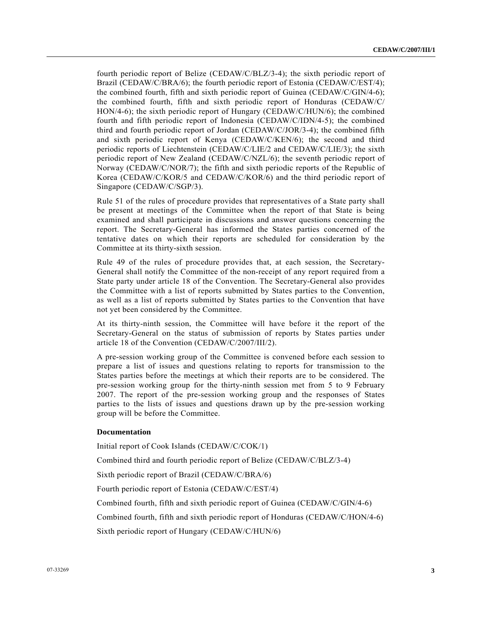fourth periodic report of Belize (CEDAW/C/BLZ/3-4); the sixth periodic report of Brazil (CEDAW/C/BRA/6); the fourth periodic report of Estonia (CEDAW/C/EST/4); the combined fourth, fifth and sixth periodic report of Guinea (CEDAW/C/GIN/4-6); the combined fourth, fifth and sixth periodic report of Honduras (CEDAW/C/ HON/4-6); the sixth periodic report of Hungary (CEDAW/C/HUN/6); the combined fourth and fifth periodic report of Indonesia (CEDAW/C/IDN/4-5); the combined third and fourth periodic report of Jordan (CEDAW/C/JOR/3-4); the combined fifth and sixth periodic report of Kenya (CEDAW/C/KEN/6); the second and third periodic reports of Liechtenstein (CEDAW/C/LIE/2 and CEDAW/C/LIE/3); the sixth periodic report of New Zealand (CEDAW/C/NZL/6); the seventh periodic report of Norway (CEDAW/C/NOR/7); the fifth and sixth periodic reports of the Republic of Korea (CEDAW/C/KOR/5 and CEDAW/C/KOR/6) and the third periodic report of Singapore (CEDAW/C/SGP/3).

Rule 51 of the rules of procedure provides that representatives of a State party shall be present at meetings of the Committee when the report of that State is being examined and shall participate in discussions and answer questions concerning the report. The Secretary-General has informed the States parties concerned of the tentative dates on which their reports are scheduled for consideration by the Committee at its thirty-sixth session.

Rule 49 of the rules of procedure provides that, at each session, the Secretary-General shall notify the Committee of the non-receipt of any report required from a State party under article 18 of the Convention. The Secretary-General also provides the Committee with a list of reports submitted by States parties to the Convention, as well as a list of reports submitted by States parties to the Convention that have not yet been considered by the Committee.

At its thirty-ninth session, the Committee will have before it the report of the Secretary-General on the status of submission of reports by States parties under article 18 of the Convention (CEDAW/C/2007/III/2).

A pre-session working group of the Committee is convened before each session to prepare a list of issues and questions relating to reports for transmission to the States parties before the meetings at which their reports are to be considered. The pre-session working group for the thirty-ninth session met from 5 to 9 February 2007. The report of the pre-session working group and the responses of States parties to the lists of issues and questions drawn up by the pre-session working group will be before the Committee.

#### **Documentation**

Initial report of Cook Islands (CEDAW/C/COK/1)

Combined third and fourth periodic report of Belize (CEDAW/C/BLZ/3-4)

Sixth periodic report of Brazil (CEDAW/C/BRA/6)

Fourth periodic report of Estonia (CEDAW/C/EST/4)

Combined fourth, fifth and sixth periodic report of Guinea (CEDAW/C/GIN/4-6)

Combined fourth, fifth and sixth periodic report of Honduras (CEDAW/C/HON/4-6)

Sixth periodic report of Hungary (CEDAW/C/HUN/6)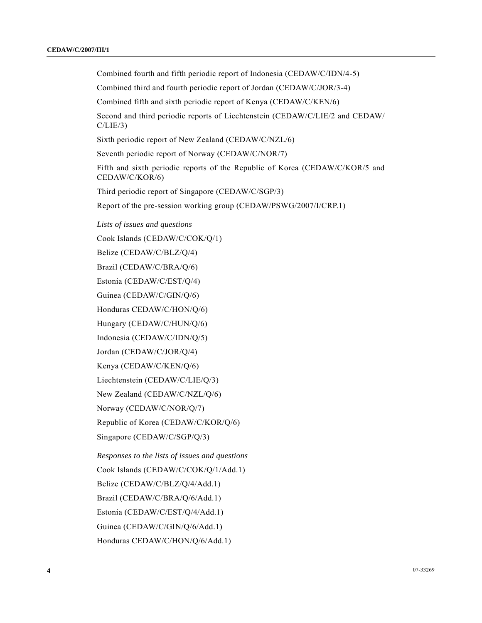Combined fourth and fifth periodic report of Indonesia (CEDAW/C/IDN/4-5)

Combined third and fourth periodic report of Jordan (CEDAW/C/JOR/3-4)

Combined fifth and sixth periodic report of Kenya (CEDAW/C/KEN/6)

Second and third periodic reports of Liechtenstein (CEDAW/C/LIE/2 and CEDAW/  $C/LIE/3$ )

Sixth periodic report of New Zealand (CEDAW/C/NZL/6)

Seventh periodic report of Norway (CEDAW/C/NOR/7)

Fifth and sixth periodic reports of the Republic of Korea (CEDAW/C/KOR/5 and CEDAW/C/KOR/6)

Third periodic report of Singapore (CEDAW/C/SGP/3)

Report of the pre-session working group (CEDAW/PSWG/2007/I/CRP.1)

 *Lists of issues and questions* 

Cook Islands (CEDAW/C/COK/Q/1)

Belize (CEDAW/C/BLZ/Q/4)

Brazil (CEDAW/C/BRA/Q/6)

Estonia (CEDAW/C/EST/Q/4)

Guinea (CEDAW/C/GIN/Q/6)

Honduras CEDAW/C/HON/Q/6)

Hungary (CEDAW/C/HUN/Q/6)

Indonesia (CEDAW/C/IDN/Q/5)

Jordan (CEDAW/C/JOR/Q/4)

Kenya (CEDAW/C/KEN/Q/6)

Liechtenstein (CEDAW/C/LIE/Q/3)

New Zealand (CEDAW/C/NZL/Q/6)

Norway (CEDAW/C/NOR/Q/7)

Republic of Korea (CEDAW/C/KOR/Q/6)

Singapore (CEDAW/C/SGP/Q/3)

 *Responses to the lists of issues and questions*  Cook Islands (CEDAW/C/COK/Q/1/Add.1) Belize (CEDAW/C/BLZ/Q/4/Add.1) Brazil (CEDAW/C/BRA/Q/6/Add.1) Estonia (CEDAW/C/EST/Q/4/Add.1) Guinea (CEDAW/C/GIN/Q/6/Add.1) Honduras CEDAW/C/HON/Q/6/Add.1)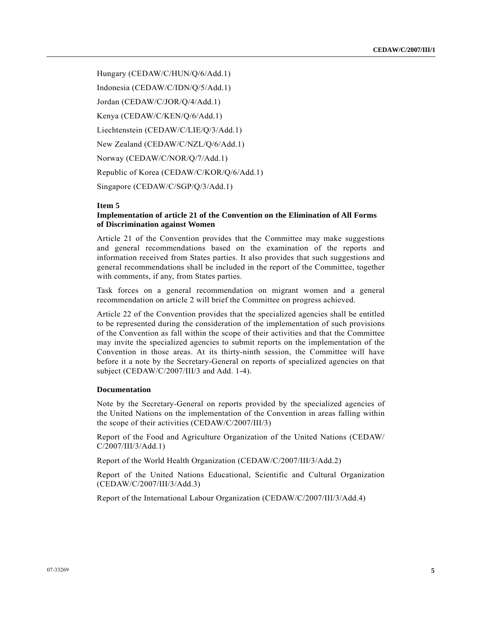Hungary (CEDAW/C/HUN/Q/6/Add.1) Indonesia (CEDAW/C/IDN/Q/5/Add.1) Jordan (CEDAW/C/JOR/Q/4/Add.1) Kenya (CEDAW/C/KEN/Q/6/Add.1) Liechtenstein (CEDAW/C/LIE/Q/3/Add.1) New Zealand (CEDAW/C/NZL/Q/6/Add.1) Norway (CEDAW/C/NOR/Q/7/Add.1) Republic of Korea (CEDAW/C/KOR/Q/6/Add.1) Singapore (CEDAW/C/SGP/Q/3/Add.1)

#### **Item 5**

## **Implementation of article 21 of the Convention on the Elimination of All Forms of Discrimination against Women**

Article 21 of the Convention provides that the Committee may make suggestions and general recommendations based on the examination of the reports and information received from States parties. It also provides that such suggestions and general recommendations shall be included in the report of the Committee, together with comments, if any, from States parties.

Task forces on a general recommendation on migrant women and a general recommendation on article 2 will brief the Committee on progress achieved.

Article 22 of the Convention provides that the specialized agencies shall be entitled to be represented during the consideration of the implementation of such provisions of the Convention as fall within the scope of their activities and that the Committee may invite the specialized agencies to submit reports on the implementation of the Convention in those areas. At its thirty-ninth session, the Committee will have before it a note by the Secretary-General on reports of specialized agencies on that subject (CEDAW/C/2007/III/3 and Add. 1-4).

#### **Documentation**

Note by the Secretary-General on reports provided by the specialized agencies of the United Nations on the implementation of the Convention in areas falling within the scope of their activities (CEDAW/C/2007/III/3)

Report of the Food and Agriculture Organization of the United Nations (CEDAW/ C/2007/III/3/Add.1)

Report of the World Health Organization (CEDAW/C/2007/III/3/Add.2)

Report of the United Nations Educational, Scientific and Cultural Organization (CEDAW/C/2007/III/3/Add.3)

Report of the International Labour Organization (CEDAW/C/2007/III/3/Add.4)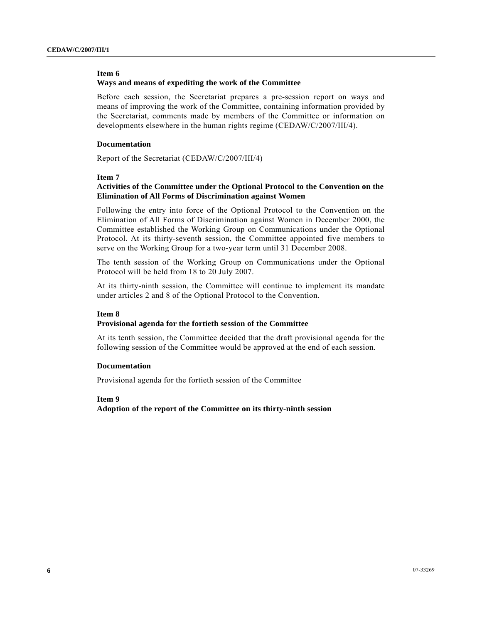### **Item 6**

#### **Ways and means of expediting the work of the Committee**

Before each session, the Secretariat prepares a pre-session report on ways and means of improving the work of the Committee, containing information provided by the Secretariat, comments made by members of the Committee or information on developments elsewhere in the human rights regime (CEDAW/C/2007/III/4).

#### **Documentation**

Report of the Secretariat (CEDAW/C/2007/III/4)

#### **Item 7**

### **Activities of the Committee under the Optional Protocol to the Convention on the Elimination of All Forms of Discrimination against Women**

Following the entry into force of the Optional Protocol to the Convention on the Elimination of All Forms of Discrimination against Women in December 2000, the Committee established the Working Group on Communications under the Optional Protocol. At its thirty-seventh session, the Committee appointed five members to serve on the Working Group for a two-year term until 31 December 2008.

The tenth session of the Working Group on Communications under the Optional Protocol will be held from 18 to 20 July 2007.

At its thirty-ninth session, the Committee will continue to implement its mandate under articles 2 and 8 of the Optional Protocol to the Convention.

#### **Item 8**

#### **Provisional agenda for the fortieth session of the Committee**

At its tenth session, the Committee decided that the draft provisional agenda for the following session of the Committee would be approved at the end of each session.

#### **Documentation**

Provisional agenda for the fortieth session of the Committee

#### **Item 9**

**Adoption of the report of the Committee on its thirty-ninth session**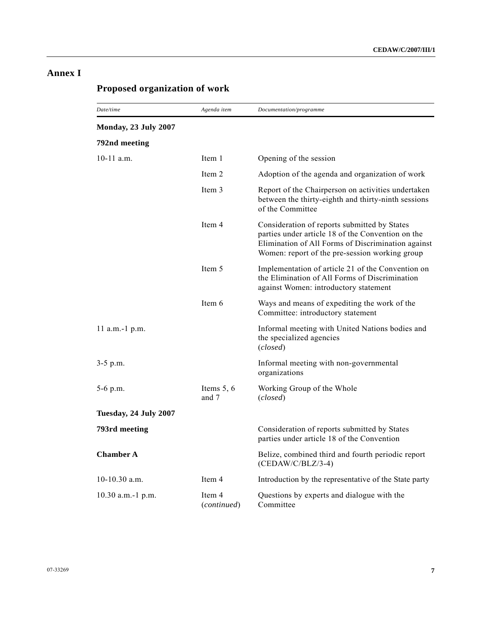## **Annex I**

| Date/time                   | Agenda item           | Documentation/programme                                                                                                                                                                                   |  |
|-----------------------------|-----------------------|-----------------------------------------------------------------------------------------------------------------------------------------------------------------------------------------------------------|--|
| <b>Monday, 23 July 2007</b> |                       |                                                                                                                                                                                                           |  |
| 792nd meeting               |                       |                                                                                                                                                                                                           |  |
| $10-11$ a.m.                | Item 1                | Opening of the session                                                                                                                                                                                    |  |
|                             | Item 2                | Adoption of the agenda and organization of work                                                                                                                                                           |  |
|                             | Item 3                | Report of the Chairperson on activities undertaken<br>between the thirty-eighth and thirty-ninth sessions<br>of the Committee                                                                             |  |
|                             | Item 4                | Consideration of reports submitted by States<br>parties under article 18 of the Convention on the<br>Elimination of All Forms of Discrimination against<br>Women: report of the pre-session working group |  |
|                             | Item 5                | Implementation of article 21 of the Convention on<br>the Elimination of All Forms of Discrimination<br>against Women: introductory statement                                                              |  |
|                             | Item 6                | Ways and means of expediting the work of the<br>Committee: introductory statement                                                                                                                         |  |
| 11 a.m.-1 p.m.              |                       | Informal meeting with United Nations bodies and<br>the specialized agencies<br>(closed)                                                                                                                   |  |
| $3-5$ p.m.                  |                       | Informal meeting with non-governmental<br>organizations                                                                                                                                                   |  |
| 5-6 p.m.                    | Items $5, 6$<br>and 7 | Working Group of the Whole<br>(closed)                                                                                                                                                                    |  |
| Tuesday, 24 July 2007       |                       |                                                                                                                                                                                                           |  |
| 793rd meeting               |                       | Consideration of reports submitted by States<br>parties under article 18 of the Convention                                                                                                                |  |
| <b>Chamber A</b>            |                       | Belize, combined third and fourth periodic report<br>$(CEDAW/C/BLZ/3-4)$                                                                                                                                  |  |
| $10-10.30$ a.m.             | Item 4                | Introduction by the representative of the State party                                                                                                                                                     |  |
| 10.30 a.m.-1 p.m.           | Item 4<br>(continued) | Questions by experts and dialogue with the<br>Committee                                                                                                                                                   |  |

# **Proposed organization of work**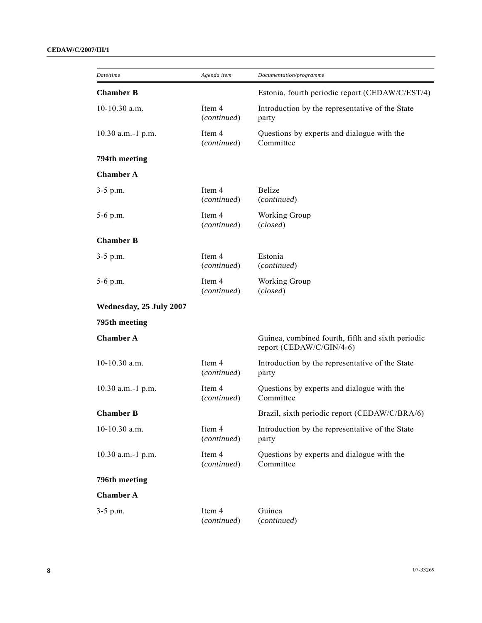| Date/time               | Agenda item           | Documentation/programme                                                       |  |
|-------------------------|-----------------------|-------------------------------------------------------------------------------|--|
| <b>Chamber B</b>        |                       | Estonia, fourth periodic report (CEDAW/C/EST/4)                               |  |
| $10-10.30$ a.m.         | Item 4<br>(continued) | Introduction by the representative of the State<br>party                      |  |
| 10.30 a.m.-1 p.m.       | Item 4<br>(continued) | Questions by experts and dialogue with the<br>Committee                       |  |
| 794th meeting           |                       |                                                                               |  |
| <b>Chamber A</b>        |                       |                                                                               |  |
| $3-5$ p.m.              | Item 4<br>(continued) | <b>Belize</b><br>(continued)                                                  |  |
| 5-6 p.m.                | Item 4<br>(continued) | Working Group<br>(closed)                                                     |  |
| <b>Chamber B</b>        |                       |                                                                               |  |
| $3-5$ p.m.              | Item 4<br>(continued) | Estonia<br>(continued)                                                        |  |
| 5-6 p.m.                | Item 4<br>(continued) | Working Group<br>(closed)                                                     |  |
| Wednesday, 25 July 2007 |                       |                                                                               |  |
| 795th meeting           |                       |                                                                               |  |
| <b>Chamber A</b>        |                       | Guinea, combined fourth, fifth and sixth periodic<br>report (CEDAW/C/GIN/4-6) |  |
| $10-10.30$ a.m.         | Item 4<br>(continued) | Introduction by the representative of the State<br>party                      |  |
| 10.30 a.m.-1 p.m.       | Item 4<br>(continued) | Questions by experts and dialogue with the<br>Committee                       |  |
| <b>Chamber B</b>        |                       | Brazil, sixth periodic report (CEDAW/C/BRA/6)                                 |  |
| 10-10.30 a.m.           | Item 4<br>(continued) | Introduction by the representative of the State<br>party                      |  |
| 10.30 a.m.-1 p.m.       | Item 4<br>(continued) | Questions by experts and dialogue with the<br>Committee                       |  |
| 796th meeting           |                       |                                                                               |  |
| <b>Chamber A</b>        |                       |                                                                               |  |
| $3-5$ p.m.              | Item 4<br>(continued) | Guinea<br>(continued)                                                         |  |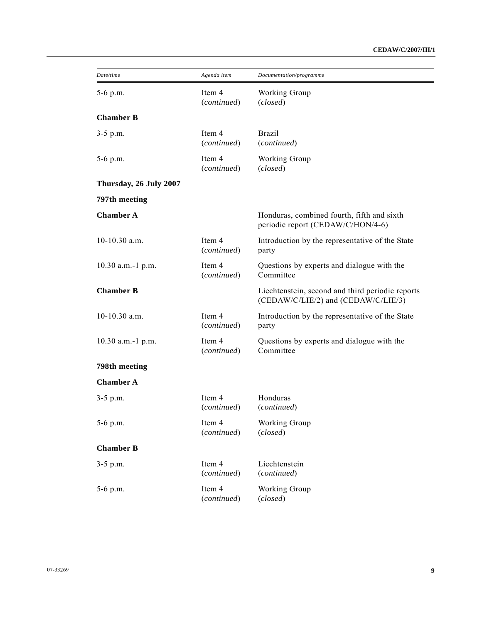## **CEDAW/C/2007/III/1**

| Date/time              | Agenda item           | Documentation/programme                                                                 |  |
|------------------------|-----------------------|-----------------------------------------------------------------------------------------|--|
| 5-6 p.m.               | Item 4<br>(continued) | Working Group<br>(closed)                                                               |  |
| <b>Chamber B</b>       |                       |                                                                                         |  |
| $3-5$ p.m.             | Item 4<br>(continued) | <b>Brazil</b><br>(continued)                                                            |  |
| 5-6 p.m.               | Item 4<br>(continued) | Working Group<br>(closed)                                                               |  |
| Thursday, 26 July 2007 |                       |                                                                                         |  |
| 797th meeting          |                       |                                                                                         |  |
| <b>Chamber A</b>       |                       | Honduras, combined fourth, fifth and sixth<br>periodic report (CEDAW/C/HON/4-6)         |  |
| $10-10.30$ a.m.        | Item 4<br>(continued) | Introduction by the representative of the State<br>party                                |  |
| 10.30 a.m.-1 p.m.      | Item 4<br>(continued) | Questions by experts and dialogue with the<br>Committee                                 |  |
| <b>Chamber B</b>       |                       | Liechtenstein, second and third periodic reports<br>(CEDAW/C/LIE/2) and (CEDAW/C/LIE/3) |  |
| $10-10.30$ a.m.        | Item 4<br>(continued) | Introduction by the representative of the State<br>party                                |  |
| $10.30$ a.m.-1 p.m.    | Item 4<br>(continued) | Questions by experts and dialogue with the<br>Committee                                 |  |
| 798th meeting          |                       |                                                                                         |  |
| <b>Chamber A</b>       |                       |                                                                                         |  |
| $3-5$ p.m.             | Item 4<br>(continued) | Honduras<br>(continued)                                                                 |  |
| 5-6 p.m.               | Item 4<br>(continued) | Working Group<br>(closed)                                                               |  |
| <b>Chamber B</b>       |                       |                                                                                         |  |
| $3-5$ p.m.             | Item 4<br>(continued) | Liechtenstein<br>(continued)                                                            |  |
| 5-6 p.m.               | Item 4<br>(continued) | Working Group<br>(closed)                                                               |  |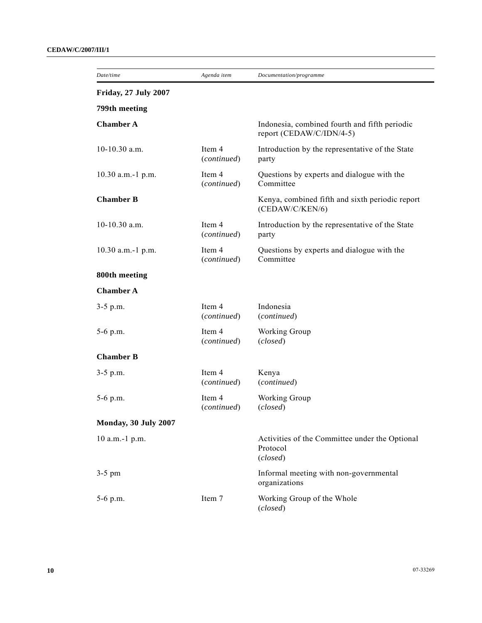| Date/time                   | Agenda item           | Documentation/programme                                                   |  |
|-----------------------------|-----------------------|---------------------------------------------------------------------------|--|
| <b>Friday, 27 July 2007</b> |                       |                                                                           |  |
| 799th meeting               |                       |                                                                           |  |
| <b>Chamber A</b>            |                       | Indonesia, combined fourth and fifth periodic<br>report (CEDAW/C/IDN/4-5) |  |
| $10-10.30$ a.m.             | Item 4<br>(continued) | Introduction by the representative of the State<br>party                  |  |
| 10.30 a.m.-1 p.m.           | Item 4<br>(continued) | Questions by experts and dialogue with the<br>Committee                   |  |
| <b>Chamber B</b>            |                       | Kenya, combined fifth and sixth periodic report<br>(CEDAW/C/KEN/6)        |  |
| $10-10.30$ a.m.             | Item 4<br>(continued) | Introduction by the representative of the State<br>party                  |  |
| $10.30$ a.m.-1 p.m.         | Item 4<br>(continued) | Questions by experts and dialogue with the<br>Committee                   |  |
| 800th meeting               |                       |                                                                           |  |
| <b>Chamber A</b>            |                       |                                                                           |  |
| $3-5$ p.m.                  | Item 4<br>(continued) | Indonesia<br>(continued)                                                  |  |
| $5-6$ p.m.                  | Item 4<br>(continued) | Working Group<br>(closed)                                                 |  |
| <b>Chamber B</b>            |                       |                                                                           |  |
| $3-5$ p.m.                  | Item 4<br>(continued) | Kenya<br>(continued)                                                      |  |
| $5-6$ p.m.                  | Item 4<br>(continued) | Working Group<br>(closed)                                                 |  |
| Monday, 30 July 2007        |                       |                                                                           |  |
| 10 a.m.-1 p.m.              |                       | Activities of the Committee under the Optional<br>Protocol<br>(closed)    |  |
| $3-5$ pm                    |                       | Informal meeting with non-governmental<br>organizations                   |  |
| 5-6 p.m.                    | Item 7                | Working Group of the Whole<br>(closed)                                    |  |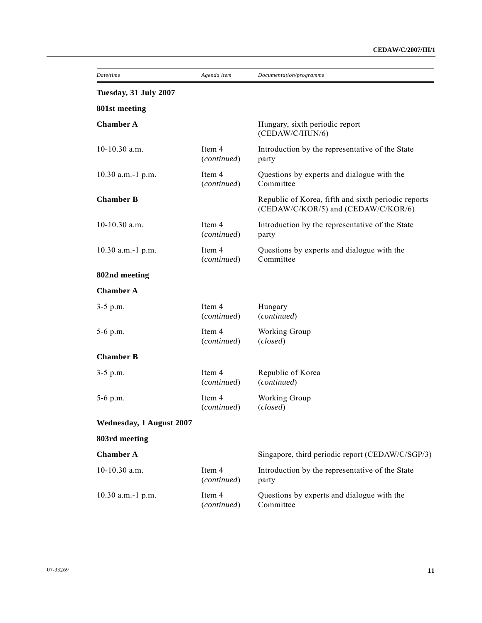## **CEDAW/C/2007/III/1**

| Date/time                       | Agenda item           | Documentation/programme                                                                    |
|---------------------------------|-----------------------|--------------------------------------------------------------------------------------------|
| Tuesday, 31 July 2007           |                       |                                                                                            |
| 801st meeting                   |                       |                                                                                            |
| <b>Chamber A</b>                |                       | Hungary, sixth periodic report<br>(CEDAW/C/HUN/6)                                          |
| $10-10.30$ a.m.                 | Item 4<br>(continued) | Introduction by the representative of the State<br>party                                   |
| 10.30 a.m.-1 p.m.               | Item 4<br>(continued) | Questions by experts and dialogue with the<br>Committee                                    |
| <b>Chamber B</b>                |                       | Republic of Korea, fifth and sixth periodic reports<br>(CEDAW/C/KOR/5) and (CEDAW/C/KOR/6) |
| 10-10.30 a.m.                   | Item 4<br>(continued) | Introduction by the representative of the State<br>party                                   |
| 10.30 a.m.-1 p.m.               | Item 4<br>(continued) | Questions by experts and dialogue with the<br>Committee                                    |
| 802nd meeting                   |                       |                                                                                            |
| <b>Chamber A</b>                |                       |                                                                                            |
| $3-5$ p.m.                      | Item 4<br>(continued) | Hungary<br>(continued)                                                                     |
| 5-6 p.m.                        | Item 4<br>(continued) | Working Group<br>(closed)                                                                  |
| <b>Chamber B</b>                |                       |                                                                                            |
| $3-5$ p.m.                      | Item 4<br>(continued) | Republic of Korea<br>(continued)                                                           |
| 5-6 p.m.                        | Item 4<br>(continued) | Working Group<br>(closed)                                                                  |
| <b>Wednesday, 1 August 2007</b> |                       |                                                                                            |
| 803rd meeting                   |                       |                                                                                            |
| <b>Chamber A</b>                |                       | Singapore, third periodic report (CEDAW/C/SGP/3)                                           |
| 10-10.30 a.m.                   | Item 4<br>(continued) | Introduction by the representative of the State<br>party                                   |
| 10.30 a.m.-1 p.m.               | Item 4<br>(continued) | Questions by experts and dialogue with the<br>Committee                                    |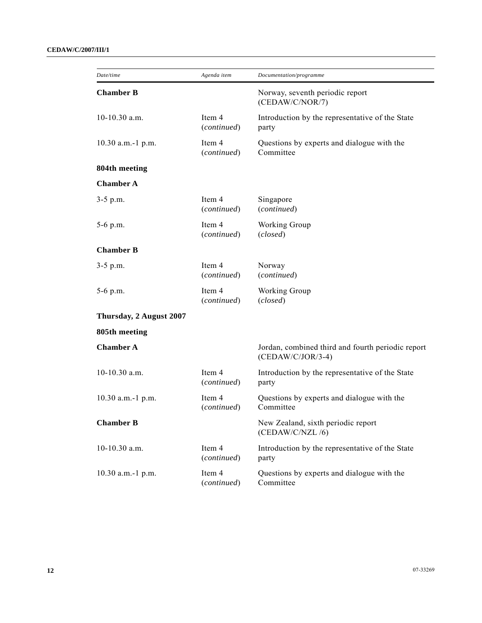| Date/time               | Agenda item           | Documentation/programme                                                  |  |
|-------------------------|-----------------------|--------------------------------------------------------------------------|--|
| <b>Chamber B</b>        |                       | Norway, seventh periodic report<br>(CEDAW/C/NOR/7)                       |  |
| $10-10.30$ a.m.         | Item 4<br>(continued) | Introduction by the representative of the State<br>party                 |  |
| 10.30 a.m.-1 p.m.       | Item 4<br>(continued) | Questions by experts and dialogue with the<br>Committee                  |  |
| 804th meeting           |                       |                                                                          |  |
| <b>Chamber A</b>        |                       |                                                                          |  |
| $3-5$ p.m.              | Item 4<br>(continued) | Singapore<br>(continued)                                                 |  |
| $5-6$ p.m.              | Item 4<br>(continued) | Working Group<br>(closed)                                                |  |
| <b>Chamber B</b>        |                       |                                                                          |  |
| $3-5$ p.m.              | Item 4<br>(continued) | Norway<br>(continued)                                                    |  |
| $5-6$ p.m.              | Item 4<br>(continued) | Working Group<br>(closed)                                                |  |
| Thursday, 2 August 2007 |                       |                                                                          |  |
| 805th meeting           |                       |                                                                          |  |
| <b>Chamber A</b>        |                       | Jordan, combined third and fourth periodic report<br>$(CEDAW/C/JOR/3-4)$ |  |
| $10-10.30$ a.m.         | Item 4<br>(continued) | Introduction by the representative of the State<br>party                 |  |
| $10.30$ a.m.-1 p.m.     | Item 4<br>(continued) | Questions by experts and dialogue with the<br>Committee                  |  |
| <b>Chamber B</b>        |                       | New Zealand, sixth periodic report<br>(CEDAW/C/NZL/6)                    |  |
| 10-10.30 a.m.           | Item 4<br>(continued) | Introduction by the representative of the State<br>party                 |  |
| 10.30 a.m.-1 p.m.       | Item 4<br>(continued) | Questions by experts and dialogue with the<br>Committee                  |  |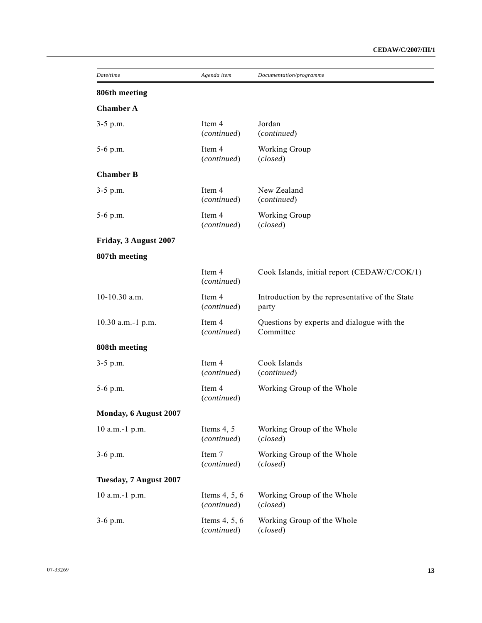## **CEDAW/C/2007/III/1**

| Date/time              | Agenda item                    | Documentation/programme                                  |  |
|------------------------|--------------------------------|----------------------------------------------------------|--|
| 806th meeting          |                                |                                                          |  |
| <b>Chamber A</b>       |                                |                                                          |  |
| $3-5$ p.m.             | Item 4<br>(continued)          | Jordan<br>(continued)                                    |  |
| $5-6$ p.m.             | Item 4<br>(continued)          | Working Group<br>(closed)                                |  |
| <b>Chamber B</b>       |                                |                                                          |  |
| $3-5$ p.m.             | Item 4<br>(continued)          | New Zealand<br>(continued)                               |  |
| $5-6$ p.m.             | Item 4<br>(continued)          | Working Group<br>(closed)                                |  |
| Friday, 3 August 2007  |                                |                                                          |  |
| 807th meeting          |                                |                                                          |  |
|                        | Item 4<br>(continued)          | Cook Islands, initial report (CEDAW/C/COK/1)             |  |
| 10-10.30 a.m.          | Item 4<br>(continued)          | Introduction by the representative of the State<br>party |  |
| 10.30 a.m.-1 p.m.      | Item 4<br>(continued)          | Questions by experts and dialogue with the<br>Committee  |  |
| 808th meeting          |                                |                                                          |  |
| $3-5$ p.m.             | Item 4<br>(continued)          | Cook Islands<br>(continued)                              |  |
| 5-6 p.m.               | Item 4<br>(continued)          | Working Group of the Whole                               |  |
| Monday, 6 August 2007  |                                |                                                          |  |
| 10 a.m.-1 p.m.         | Items 4, 5<br>(continued)      | Working Group of the Whole<br>(closed)                   |  |
| $3-6$ p.m.             | Item 7<br>(continued)          | Working Group of the Whole<br>(closed)                   |  |
| Tuesday, 7 August 2007 |                                |                                                          |  |
| 10 a.m.-1 p.m.         | Items 4, 5, 6<br>(continued)   | Working Group of the Whole<br>(closed)                   |  |
| $3-6$ p.m.             | Items $4, 5, 6$<br>(continued) | Working Group of the Whole<br>(closed)                   |  |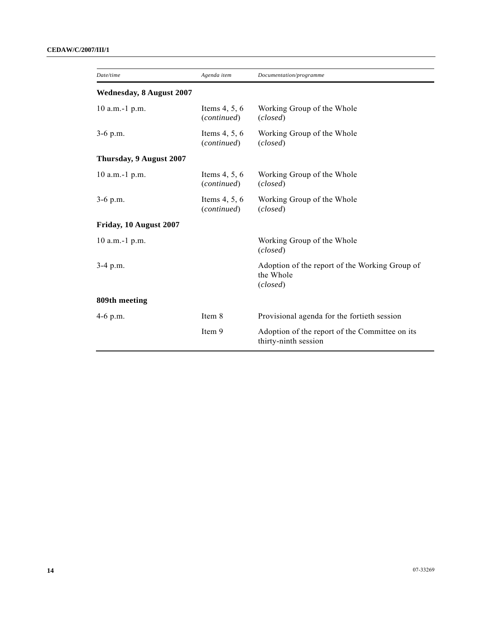| Date/time                       | Agenda item                    | Documentation/programme                                                 |  |
|---------------------------------|--------------------------------|-------------------------------------------------------------------------|--|
| <b>Wednesday, 8 August 2007</b> |                                |                                                                         |  |
| $10$ a.m.-1 p.m.                | Items $4, 5, 6$<br>(continued) | Working Group of the Whole<br>(closed)                                  |  |
| $3-6$ p.m.                      | Items $4, 5, 6$<br>(continued) | Working Group of the Whole<br>(closed)                                  |  |
| Thursday, 9 August 2007         |                                |                                                                         |  |
| $10$ a.m.-1 p.m.                | Items $4, 5, 6$<br>(continued) | Working Group of the Whole<br>(closed)                                  |  |
| $3-6$ p.m.                      | Items $4, 5, 6$<br>(continued) | Working Group of the Whole<br>(closed)                                  |  |
| Friday, 10 August 2007          |                                |                                                                         |  |
| $10$ a.m.-1 p.m.                |                                | Working Group of the Whole<br>(closed)                                  |  |
| $3-4$ p.m.                      |                                | Adoption of the report of the Working Group of<br>the Whole<br>(closed) |  |
| 809th meeting                   |                                |                                                                         |  |
| $4-6$ p.m.                      | Item 8                         | Provisional agenda for the fortieth session                             |  |
|                                 | Item 9                         | Adoption of the report of the Committee on its<br>thirty-ninth session  |  |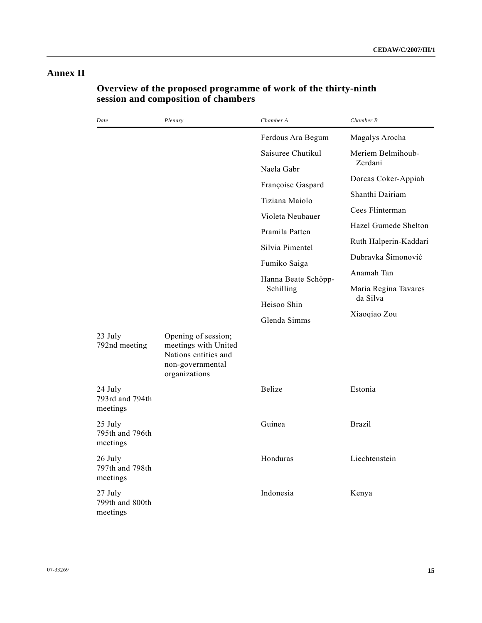## **Annex II**

| Date                                   | Plenary                                                                                                  | Chamber A                        | Chamber B             |
|----------------------------------------|----------------------------------------------------------------------------------------------------------|----------------------------------|-----------------------|
|                                        |                                                                                                          | Ferdous Ara Begum                | Magalys Arocha        |
|                                        |                                                                                                          | Saisuree Chutikul                | Meriem Belmihoub-     |
|                                        |                                                                                                          | Naela Gabr                       | Zerdani               |
|                                        |                                                                                                          | Françoise Gaspard                | Dorcas Coker-Appiah   |
|                                        |                                                                                                          | Tiziana Maiolo                   | Shanthi Dairiam       |
|                                        |                                                                                                          | Violeta Neubauer                 | Cees Flinterman       |
|                                        |                                                                                                          | Pramila Patten                   | Hazel Gumede Shelton  |
|                                        |                                                                                                          | Silvia Pimentel                  | Ruth Halperin-Kaddari |
|                                        |                                                                                                          | Fumiko Saiga                     | Dubravka Šimonović    |
|                                        |                                                                                                          |                                  | Anamah Tan            |
|                                        |                                                                                                          | Hanna Beate Schöpp-<br>Schilling | Maria Regina Tavares  |
|                                        |                                                                                                          | Heisoo Shin                      | da Silva              |
|                                        |                                                                                                          | Glenda Simms                     | Xiaoqiao Zou          |
| 23 July<br>792nd meeting               | Opening of session;<br>meetings with United<br>Nations entities and<br>non-governmental<br>organizations |                                  |                       |
| 24 July<br>793rd and 794th<br>meetings |                                                                                                          | <b>Belize</b>                    | Estonia               |
| 25 July<br>795th and 796th<br>meetings |                                                                                                          | Guinea                           | <b>Brazil</b>         |
| 26 July<br>797th and 798th<br>meetings |                                                                                                          | Honduras                         | Liechtenstein         |
| 27 July<br>799th and 800th<br>meetings |                                                                                                          | Indonesia                        | Kenya                 |

## **Overview of the proposed programme of work of the thirty-ninth session and composition of chambers**